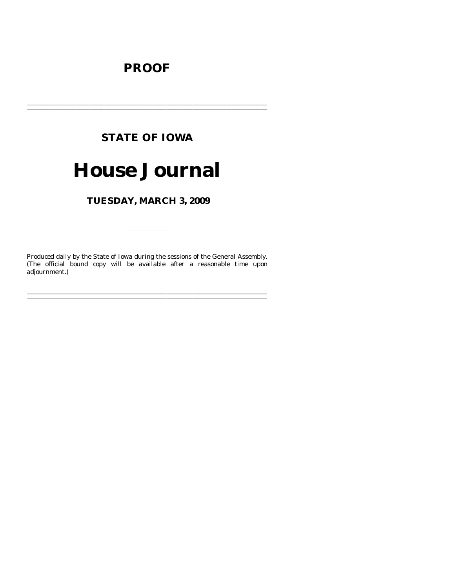# **PROOF**

# **STATE OF IOWA**

# **House Journal**

TUESDAY, MARCH 3, 2009

Produced daily by the State of Iowa during the sessions of the General Assembly. (The official bound copy will be available after a reasonable time upon adjournment.)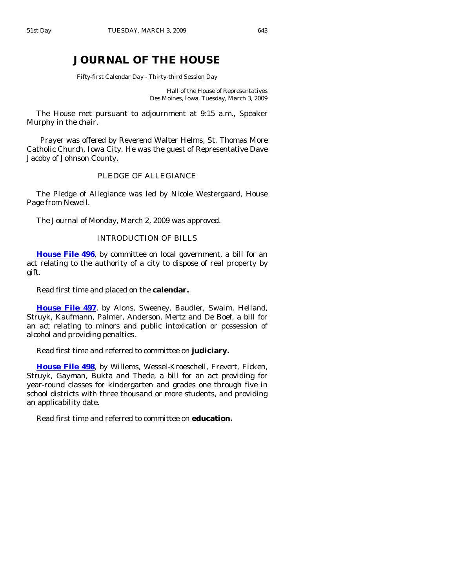# **JOURNAL OF THE HOUSE**

Fifty-first Calendar Day - Thirty-third Session Day

Hall of the House of Representatives Des Moines, Iowa, Tuesday, March 3, 2009

 The House met pursuant to adjournment at 9:15 a.m., Speaker Murphy in the chair.

 Prayer was offered by Reverend Walter Helms, St. Thomas More Catholic Church, Iowa City. He was the guest of Representative Dave Jacoby of Johnson County.

#### PLEDGE OF ALLEGIANCE

 The Pledge of Allegiance was led by Nicole Westergaard, House Page from Newell.

The Journal of Monday, March 2, 2009 was approved.

# INTRODUCTION OF BILLS

**[House File 496](http://coolice.legis.state.ia.us/Cool-ICE/default.asp?Category=billinfo&Service=Billbook&frame=1&GA=83&hbill=HF496)**, by committee on local government, a bill for an act relating to the authority of a city to dispose of real property by gift.

Read first time and placed on the **calendar.** 

**[House File 497](http://coolice.legis.state.ia.us/Cool-ICE/default.asp?Category=billinfo&Service=Billbook&frame=1&GA=83&hbill=HF497)**, by Alons, Sweeney, Baudler, Swaim, Helland, Struyk, Kaufmann, Palmer, Anderson, Mertz and De Boef, a bill for an act relating to minors and public intoxication or possession of alcohol and providing penalties.

Read first time and referred to committee on **judiciary.** 

**[House File 498](http://coolice.legis.state.ia.us/Cool-ICE/default.asp?Category=billinfo&Service=Billbook&frame=1&GA=83&hbill=HF498)**, by Willems, Wessel-Kroeschell, Frevert, Ficken, Struyk, Gayman, Bukta and Thede, a bill for an act providing for year-round classes for kindergarten and grades one through five in school districts with three thousand or more students, and providing an applicability date.

Read first time and referred to committee on **education.**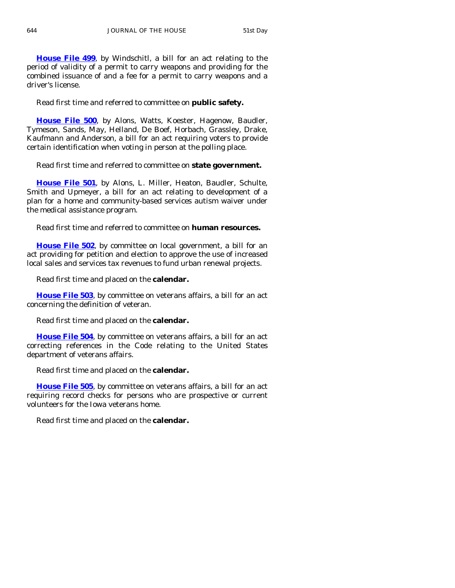**[House File 499](http://coolice.legis.state.ia.us/Cool-ICE/default.asp?Category=billinfo&Service=Billbook&frame=1&GA=83&hbill=HF499)**, by Windschitl, a bill for an act relating to the period of validity of a permit to carry weapons and providing for the combined issuance of and a fee for a permit to carry weapons and a driver's license.

Read first time and referred to committee on **public safety.** 

**[House File 500](http://coolice.legis.state.ia.us/Cool-ICE/default.asp?Category=billinfo&Service=Billbook&frame=1&GA=83&hbill=HF500)**, by Alons, Watts, Koester, Hagenow, Baudler, Tymeson, Sands, May, Helland, De Boef, Horbach, Grassley, Drake, Kaufmann and Anderson, a bill for an act requiring voters to provide certain identification when voting in person at the polling place.

Read first time and referred to committee on **state government.** 

**[House File 501](http://coolice.legis.state.ia.us/Cool-ICE/default.asp?Category=billinfo&Service=Billbook&frame=1&GA=83&hbill=HF501)**, by Alons, L. Miller, Heaton, Baudler, Schulte, Smith and Upmeyer, a bill for an act relating to development of a plan for a home and community-based services autism waiver under the medical assistance program.

Read first time and referred to committee on **human resources.** 

**[House File 502](http://coolice.legis.state.ia.us/Cool-ICE/default.asp?Category=billinfo&Service=Billbook&frame=1&GA=83&hbill=HF502)**, by committee on local government, a bill for an act providing for petition and election to approve the use of increased local sales and services tax revenues to fund urban renewal projects.

Read first time and placed on the **calendar.** 

**[House File 503](http://coolice.legis.state.ia.us/Cool-ICE/default.asp?Category=billinfo&Service=Billbook&frame=1&GA=83&hbill=HF503)**, by committee on veterans affairs, a bill for an act concerning the definition of veteran.

Read first time and placed on the **calendar.** 

**[House File 504](http://coolice.legis.state.ia.us/Cool-ICE/default.asp?Category=billinfo&Service=Billbook&frame=1&GA=83&hbill=HF504)**, by committee on veterans affairs, a bill for an act correcting references in the Code relating to the United States department of veterans affairs.

Read first time and placed on the **calendar.** 

**[House File 505](http://coolice.legis.state.ia.us/Cool-ICE/default.asp?Category=billinfo&Service=Billbook&frame=1&GA=83&hbill=HF505)**, by committee on veterans affairs, a bill for an act requiring record checks for persons who are prospective or current volunteers for the Iowa veterans home.

Read first time and placed on the **calendar.**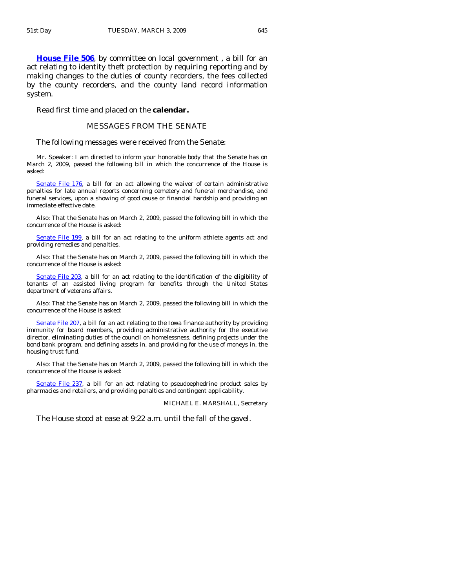**[House File 506](http://coolice.legis.state.ia.us/Cool-ICE/default.asp?Category=billinfo&Service=Billbook&frame=1&GA=83&hbill=HF506)**, by committee on local government , a bill for an act relating to identity theft protection by requiring reporting and by making changes to the duties of county recorders, the fees collected by the county recorders, and the county land record information system.

Read first time and placed on the **calendar.** 

#### MESSAGES FROM THE SENATE

The following messages were received from the Senate:

 Mr. Speaker: I am directed to inform your honorable body that the Senate has on March 2, 2009, passed the following bill in which the concurrence of the House is asked:

[Senate File 176](http://coolice.legis.state.ia.us/Cool-ICE/default.asp?Category=billinfo&Service=Billbook&frame=1&GA=83&hbill=SF176), a bill for an act allowing the waiver of certain administrative penalties for late annual reports concerning cemetery and funeral merchandise, and funeral services, upon a showing of good cause or financial hardship and providing an immediate effective date.

 Also: That the Senate has on March 2, 2009, passed the following bill in which the concurrence of the House is asked:

[Senate File](http://coolice.legis.state.ia.us/Cool-ICE/default.asp?Category=billinfo&Service=Billbook&frame=1&GA=83&hbill=SF199) 199, a bill for an act relating to the uniform athlete agents act and providing remedies and penalties.

 Also: That the Senate has on March 2, 2009, passed the following bill in which the concurrence of the House is asked:

[Senate File 203,](http://coolice.legis.state.ia.us/Cool-ICE/default.asp?Category=billinfo&Service=Billbook&frame=1&GA=83&hbill=SF203) a bill for an act relating to the identification of the eligibility of tenants of an assisted living program for benefits through the United States department of veterans affairs.

 Also: That the Senate has on March 2, 2009, passed the following bill in which the concurrence of the House is asked:

[Senate File 207,](http://coolice.legis.state.ia.us/Cool-ICE/default.asp?Category=billinfo&Service=Billbook&frame=1&GA=83&hbill=SF207) a bill for an act relating to the Iowa finance authority by providing immunity for board members, providing administrative authority for the executive director, eliminating duties of the council on homelessness, defining projects under the bond bank program, and defining assets in, and providing for the use of moneys in, the housing trust fund.

 Also: That the Senate has on March 2, 2009, passed the following bill in which the concurrence of the House is asked:

[Senate File 237](http://coolice.legis.state.ia.us/Cool-ICE/default.asp?Category=billinfo&Service=Billbook&frame=1&GA=83&hbill=SF237), a bill for an act relating to pseudoephedrine product sales by pharmacies and retailers, and providing penalties and contingent applicability.

MICHAEL E. MARSHALL, Secretary

The House stood at ease at 9:22 a.m. until the fall of the gavel.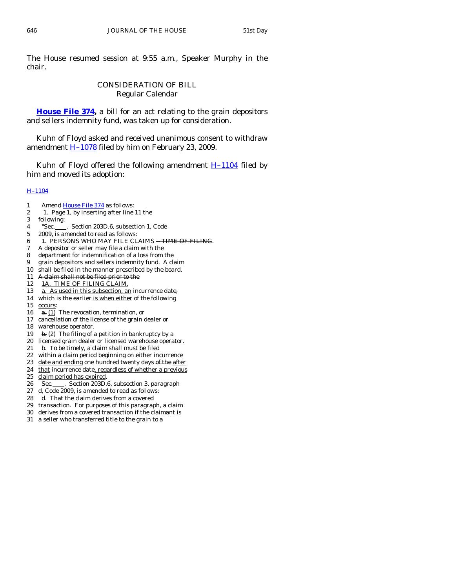The House resumed session at 9:55 a.m., Speaker Murphy in the chair.

# CONSIDERATION OF BILL Regular Calendar

**[House File 374,](http://coolice.legis.state.ia.us/Cool-ICE/default.asp?Category=billinfo&Service=Billbook&frame=1&GA=83&hbill=HF374)** a bill for an act relating to the grain depositors and sellers indemnity fund, was taken up for consideration.

 Kuhn of Floyd asked and received unanimous consent to withdraw amendment  $H-1078$  filed by him on February 23, 2009.

Kuhn of Floyd offered the following amendment  $H-1104$  filed by him and moved its adoption:

#### [H–1104](http://coolice.legis.state.ia.us/Cool-ICE/default.asp?Category=billinfo&Service=Billbook&frame=1&GA=83&hbill=H1104)

- 1 Amend [House File 374](http://coolice.legis.state.ia.us/Cool-ICE/default.asp?Category=billinfo&Service=Billbook&frame=1&GA=83&hbill=HF374) as follows:
- 2 1. Page 1, by inserting after line 11 the
- 3 following:
- 4 "Sec. . Section 203D.6, subsection 1, Code
- 5 2009, is amended to read as follows:
- 6 1. PERSONS WHO MAY FILE CLAIMS -TIME OF FILING.
- 7 A depositor or seller may file a claim with the
- 8 department for indemnification of a loss from the
- 9 grain depositors and sellers indemnity fund. A claim
- 10 shall be filed in the manner prescribed by the board.
- 11 A claim shall not be filed prior to the
- 12 1A. TIME OF FILING CLAIM.
- 13 a. As used in this subsection, an incurrence date,
- 14 which is the earlier is when either of the following
- 15 occurs:
- 16 **a.** (1) The revocation, termination, or
- 17 cancellation of the license of the grain dealer or
- 18 warehouse operator.
- 19 b. (2) The filing of a petition in bankruptcy by a
- 20 licensed grain dealer or licensed warehouse operator.
- 21  $b$ . To be timely, a claim shall must be filed
- 22 within a claim period beginning on either incurrence
- 23 date and ending one hundred twenty days of the after
- 24 that incurrence date, regardless of whether a previous
- 25 claim period has expired.
- 26 Sec. \_\_\_\_. Section 203D.6, subsection 3, paragraph
- 27 d, Code 2009, is amended to read as follows:
- 28 d. That the claim derives from a covered
- 29 transaction. For purposes of this paragraph, a claim
- 30 derives from a covered transaction if the claimant is
- 31 a seller who transferred title to the grain to a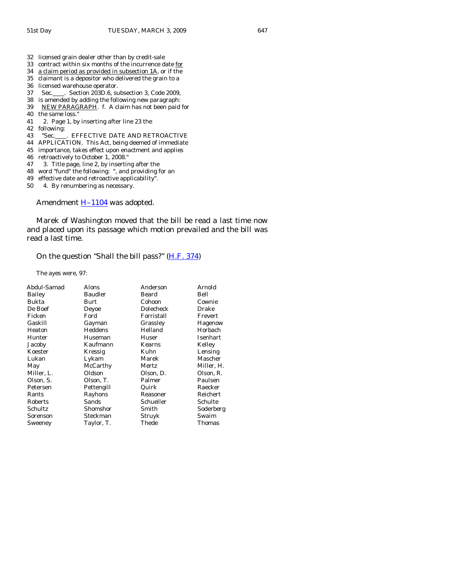- 32 licensed grain dealer other than by credit-sale
- 33 contract within six months of the incurrence date for
- 34 a claim period as provided in subsection 1A, or if the
- 35 claimant is a depositor who delivered the grain to a

- 37 Sec. \_\_\_\_. Section 203D.6, subsection 3, Code 2009,
- 38 is amended by adding the following new paragraph:
- 39 NEW PARAGRAPH. f. A claim has not been paid for
- 40 the same loss."
- 41 2. Page 1, by inserting after line 23 the
- 42 following:
- 43 "Sec. FFFECTIVE DATE AND RETROACTIVE
- 44 APPLICATION. This Act, being deemed of immediate
- 45 importance, takes effect upon enactment and applies
- 46 retroactively to October 1, 2008."
- 47 3. Title page, line 2, by inserting after the
- 48 word "fund" the following: ", and providing for an
- 49 effective date and retroactive applicability".
- 50 4. By renumbering as necessary.

Amendment  $H-1104$  was adopted.

 Marek of Washington moved that the bill be read a last time now and placed upon its passage which motion prevailed and the bill was read a last time.

#### On the question "Shall the bill pass?" [\(H.F. 374](http://coolice.legis.state.ia.us/Cool-ICE/default.asp?Category=billinfo&Service=Billbook&frame=1&GA=83&hbill=HF374))

The ayes were, 97:

| Abdul-Samad | Alons          | Anderson   | Arnold        |
|-------------|----------------|------------|---------------|
| Bailey      | <b>Baudler</b> | Beard      | Bell          |
| Bukta       | Burt           | Cohoon     | Cownie        |
| De Boef     | Deyoe          | Dolecheck  | Drake         |
| Ficken      | Ford           | Forristall | Frevert       |
| Gaskill     | Gayman         | Grassley   | Hagenow       |
| Heaton      | Heddens        | Helland    | Horbach       |
| Hunter      | Huseman        | Huser      | Isenhart      |
| Jacoby      | Kaufmann       | Kearns     | Kelley        |
| Koester     | Kressig        | Kuhn       | Lensing       |
| Lukan       | Lykam          | Marek      | Mascher       |
| May         | McCarthy       | Mertz      | Miller, H.    |
| Miller, L.  | Oldson         | Olson, D.  | Olson, R.     |
| Olson, S.   | Olson, T.      | Palmer     | Paulsen       |
| Petersen    | Pettengill     | Quirk      | Raecker       |
| Rants       | Rayhons        | Reasoner   | Reichert      |
| Roberts     | Sands          | Schueller  | Schulte       |
| Schultz     | Shomshor       | Smith      | Soderberg     |
| Sorenson    | Steckman       | Struyk     | Swaim         |
| Sweeney     | Taylor, T.     | Thede      | <b>Thomas</b> |
|             |                |            |               |

<sup>36</sup> licensed warehouse operator.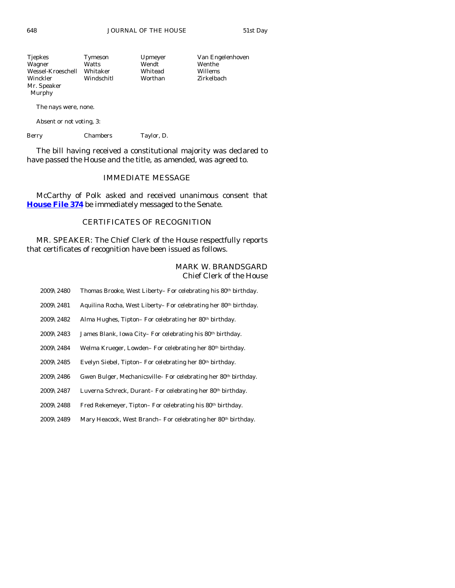648 JOURNAL OF THE HOUSE 51st Day

| Tjepkes           | Tymeson    | Upmeyer | Van Engelenhoven |
|-------------------|------------|---------|------------------|
| Wagner            | Watts      | Wendt   | Wenthe           |
| Wessel-Kroeschell | Whitaker   | Whitead | Willems          |
| Winckler          | Windschitl | Worthan | Zirkelbach       |
| Mr. Speaker       |            |         |                  |
|                   |            |         |                  |

The nays were, none.

Absent or not voting, 3:

Berry Chambers Taylor, D.

 The bill having received a constitutional majority was declared to have passed the House and the title, as amended, was agreed to.

# IMMEDIATE MESSAGE

 McCarthy of Polk asked and received unanimous consent that **[House File 374](http://coolice.legis.state.ia.us/Cool-ICE/default.asp?Category=billinfo&Service=Billbook&frame=1&GA=83&hbill=HF374)** be immediately messaged to the Senate.

# CERTIFICATES OF RECOGNITION

 MR. SPEAKER: The Chief Clerk of the House respectfully reports that certificates of recognition have been issued as follows.

### MARK W. BRANDSGARD Chief Clerk of the House

| 2009\2480             | Thomas Brooke, West Liberty- For celebrating his 80th birthday.            |
|-----------------------|----------------------------------------------------------------------------|
| $2009\backslash2481$  | Aquilina Rocha, West Liberty-For celebrating her 80th birthday.            |
| 2009\2482             | Alma Hughes, Tipton-For celebrating her 80th birthday.                     |
| 2009\2483             | James Blank, Iowa City-For celebrating his 80th birthday.                  |
| $2009\backslash 2484$ | Welma Krueger, Lowden-For celebrating her 80th birthday.                   |
| 2009\2485             | Evelyn Siebel, Tipton-For celebrating her 80th birthday.                   |
| 2009\2486             | Gwen Bulger, Mechanicsville-For celebrating her 80 <sup>th</sup> birthday. |
| 2009\2487             | Luverna Schreck, Durant-For celebrating her 80th birthday.                 |
| 2009\2488             | Fred Rekemeyer, Tipton-For celebrating his 80th birthday.                  |
| 2009\2489             | Mary Heacock, West Branch– For celebrating her 80 <sup>th</sup> birthday.  |
|                       |                                                                            |

Murphy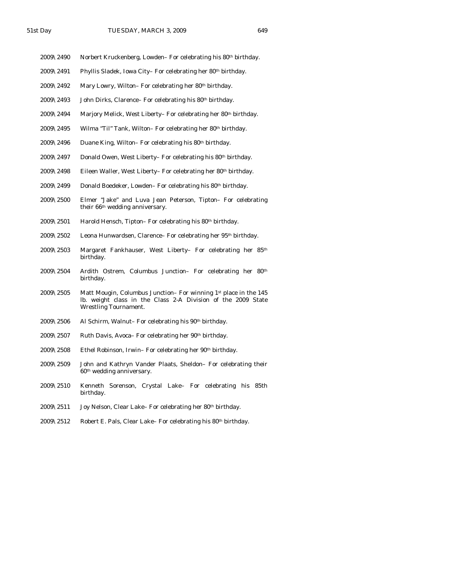- 2009\2490 Norbert Kruckenberg, Lowden– For celebrating his 80<sup>th</sup> birthday.
- 2009\2491 Phyllis Sladek, Iowa City– For celebrating her 80th birthday.
- 2009\2492 Mary Lowry, Wilton– For celebrating her 80<sup>th</sup> birthday.
- $2009\backslash2493$  John Dirks, Clarence– For celebrating his 80<sup>th</sup> birthday.
- 2009\2494 Marjory Melick, West Liberty– For celebrating her 80th birthday.
- 2009\2495 Wilma "Til" Tank, Wilton– For celebrating her 80th birthday.
- 2009\2496 Duane King, Wilton– For celebrating his  $80<sup>th</sup>$  birthday.
- 2009\2497 Donald Owen, West Liberty– For celebrating his 80th birthday.
- 2009\2498 Eileen Waller, West Liberty– For celebrating her 80th birthday.
- 2009\2499 Donald Boedeker, Lowden– For celebrating his 80<sup>th</sup> birthday.
- 2009\2500 Elmer "Jake" and Luva Jean Peterson, Tipton– For celebrating their 66<sup>th</sup> wedding anniversary.
- $2009\backslash2501$  Harold Hensch, Tipton– For celebrating his 80<sup>th</sup> birthday.
- 2009\2502 Leona Hunwardsen, Clarence– For celebrating her 95th birthday.
- 2009\2503 Margaret Fankhauser, West Liberty– For celebrating her 85th birthday.
- 2009\2504 Ardith Ostrem, Columbus Junction– For celebrating her 80th birthday.
- 2009\2505 Matt Mougin, Columbus Junction– For winning 1st place in the 145 lb. weight class in the Class 2-A Division of the 2009 State Wrestling Tournament.
- 2009\2506 Al Schirm, Walnut– For celebrating his 90<sup>th</sup> birthday.
- 2009\2507 Ruth Davis, Avoca- For celebrating her 90<sup>th</sup> birthday.
- 2009\2508 Ethel Robinson, Irwin– For celebrating her 90th birthday.
- 2009\2509 John and Kathryn Vander Plaats, Sheldon– For celebrating their 60th wedding anniversary.
- 2009\2510 Kenneth Sorenson, Crystal Lake– For celebrating his 85th birthday.
- 2009\2511 Joy Nelson, Clear Lake– For celebrating her 80th birthday.
- 2009\2512 Robert E. Pals, Clear Lake– For celebrating his 80th birthday.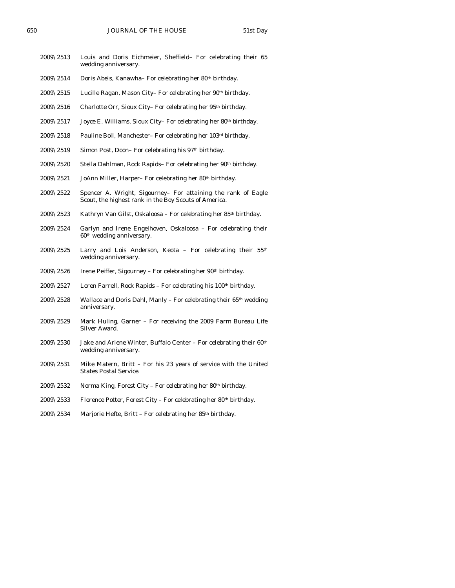- 2009\2513 Louis and Doris Eichmeier, Sheffield– For celebrating their 65 wedding anniversary.
- $2009\overline{\smash{\backslash}2514}$  Doris Abels, Kanawha– For celebrating her 80<sup>th</sup> birthday.
- 2009\2515 Lucille Ragan, Mason City– For celebrating her 90th birthday.
- 2009\2516 Charlotte Orr, Sioux City-For celebrating her 95<sup>th</sup> birthday.
- 2009\2517 Joyce E. Williams, Sioux City- For celebrating her 80<sup>th</sup> birthday.
- 2009\2518 Pauline Boll, Manchester– For celebrating her 103rd birthday.
- 2009\2519 Simon Post, Doon-For celebrating his 97<sup>th</sup> birthday.
- $2009\backslash2520$  Stella Dahlman, Rock Rapids– For celebrating her  $90th$  birthday.
- 2009\2521 JoAnn Miller, Harper– For celebrating her 80<sup>th</sup> birthday.
- 2009\2522 Spencer A. Wright, Sigourney– For attaining the rank of Eagle Scout, the highest rank in the Boy Scouts of America.
- 2009\2523 Kathryn Van Gilst, Oskaloosa For celebrating her 85th birthday.
- 2009\2524 Garlyn and Irene Engelhoven, Oskaloosa For celebrating their 60th wedding anniversary.
- 2009\2525 Larry and Lois Anderson, Keota For celebrating their 55th wedding anniversary.
- 2009\2526 Irene Peiffer, Sigourney For celebrating her 90<sup>th</sup> birthday.
- $2009\backslash2527$  Loren Farrell, Rock Rapids For celebrating his 100<sup>th</sup> birthday.
- $2009\sqrt{2528}$  Wallace and Doris Dahl, Manly For celebrating their 65<sup>th</sup> wedding anniversary.
- 2009\2529 Mark Huling, Garner For receiving the 2009 Farm Bureau Life Silver Award.
- 2009\2530 Jake and Arlene Winter, Buffalo Center For celebrating their  $60<sup>th</sup>$ wedding anniversary.
- 2009\2531 Mike Matern, Britt For his 23 years of service with the United States Postal Service.
- 2009\2532 Norma King, Forest City For celebrating her 80<sup>th</sup> birthday.
- 2009\2533 Florence Potter, Forest City For celebrating her 80<sup>th</sup> birthday.
- 2009\2534 Marjorie Hefte, Britt For celebrating her 85th birthday.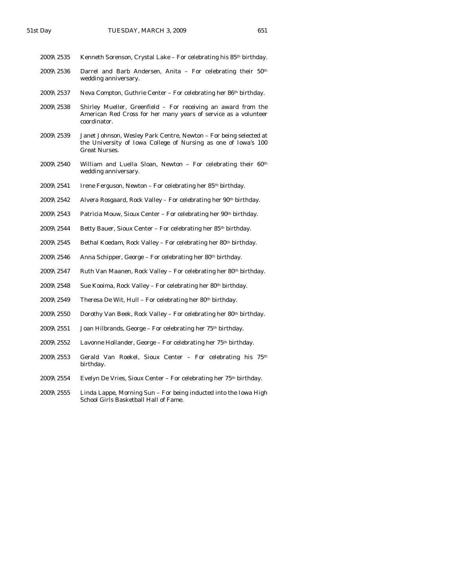| 2009\2535             | Kenneth Sorenson, Crystal Lake - For celebrating his 85 <sup>th</sup> birthday.                                                                      |
|-----------------------|------------------------------------------------------------------------------------------------------------------------------------------------------|
| $2009\backslash 2536$ | Darrel and Barb Andersen, Anita – For celebrating their $50th$<br>wedding anniversary.                                                               |
| $2009\backslash 2537$ | Neva Compton, Guthrie Center – For celebrating her $86th$ birthday.                                                                                  |
| $2009 \& 2538$        | Shirley Mueller, Greenfield – For receiving an award from the<br>American Red Cross for her many years of service as a volunteer<br>coordinator.     |
| $2009 \& 2539$        | Janet Johnson, Wesley Park Centre, Newton – For being selected at<br>the University of Iowa College of Nursing as one of Iowa's 100<br>Great Nurses. |
| $2009 \& 2540$        | William and Luella Sloan, Newton $-$ For celebrating their 60 <sup>th</sup><br>wedding anniversary.                                                  |
| $2009\backslash2541$  | Irene Ferguson, Newton – For celebrating her 85 <sup>th</sup> birthday.                                                                              |
| $2009\backslash2542$  | Alvera Rosgaard, Rock Valley – For celebrating her 90 <sup>th</sup> birthday.                                                                        |

- 2009\2543 Patricia Mouw, Sioux Center For celebrating her 90<sup>th</sup> birthday.
- 2009\2544 Betty Bauer, Sioux Center For celebrating her 85<sup>th</sup> birthday.
- 2009\2545 Bethal Koedam, Rock Valley For celebrating her 80<sup>th</sup> birthday.
- 2009\2546 Anna Schipper, George For celebrating her 80<sup>th</sup> birthday.
- 2009\2547 Ruth Van Maanen, Rock Valley For celebrating her 80<sup>th</sup> birthday.
- 2009\2548 Sue Kooima, Rock Valley For celebrating her  $80<sup>th</sup>$  birthday.
- 2009\2549 Theresa De Wit, Hull For celebrating her 80<sup>th</sup> birthday.
- 2009\2550 Dorothy Van Beek, Rock Valley For celebrating her 80<sup>th</sup> birthday.
- 2009\2551 Joan Hilbrands, George For celebrating her 75th birthday.
- 2009\2552 Lavonne Hollander, George For celebrating her 75th birthday.
- 2009\2553 Gerald Van Roekel, Sioux Center For celebrating his 75th birthday.
- 2009\2554 Evelyn De Vries, Sioux Center For celebrating her  $75<sup>th</sup>$  birthday.
- 2009\2555 Linda Lappe, Morning Sun For being inducted into the Iowa High School Girls Basketball Hall of Fame.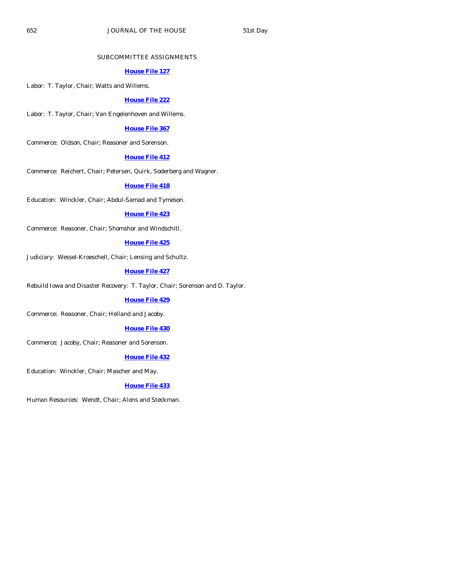#### SUBCOMMITTEE ASSIGNMENTS

#### **[House File 127](http://coolice.legis.state.ia.us/Cool-ICE/default.asp?Category=billinfo&Service=Billbook&frame=1&GA=83&hbill=HF127)**

Labor: T. Taylor, Chair; Watts and Willems.

#### **[House File 222](http://coolice.legis.state.ia.us/Cool-ICE/default.asp?Category=billinfo&Service=Billbook&frame=1&GA=83&hbill=HF222)**

Labor: T. Taylor, Chair; Van Engelenhoven and Willems.

#### **[House File 367](http://coolice.legis.state.ia.us/Cool-ICE/default.asp?Category=billinfo&Service=Billbook&frame=1&GA=83&hbill=HF367)**

Commerce: Oldson, Chair; Reasoner and Sorenson.

#### **[House File 412](http://coolice.legis.state.ia.us/Cool-ICE/default.asp?Category=billinfo&Service=Billbook&frame=1&GA=83&hbill=HF412)**

Commerce: Reichert, Chair; Petersen, Quirk, Soderberg and Wagner.

#### **[House File 418](http://coolice.legis.state.ia.us/Cool-ICE/default.asp?Category=billinfo&Service=Billbook&frame=1&GA=83&hbill=HF418)**

Education: Winckler, Chair; Abdul-Samad and Tymeson.

#### **[House File 423](http://coolice.legis.state.ia.us/Cool-ICE/default.asp?Category=billinfo&Service=Billbook&frame=1&GA=83&hbill=HF423)**

Commerce: Reasoner, Chair; Shomshor and Windschitl.

#### **[House File 425](http://coolice.legis.state.ia.us/Cool-ICE/default.asp?Category=billinfo&Service=Billbook&frame=1&GA=83&hbill=HF425)**

Judiciary: Wessel-Kroeschell, Chair; Lensing and Schultz.

#### **[House File 427](http://coolice.legis.state.ia.us/Cool-ICE/default.asp?Category=billinfo&Service=Billbook&frame=1&GA=83&hbill=HF427)**

Rebuild Iowa and Disaster Recovery: T. Taylor, Chair; Sorenson and D. Taylor.

#### **[House File 429](http://coolice.legis.state.ia.us/Cool-ICE/default.asp?Category=billinfo&Service=Billbook&frame=1&GA=83&hbill=HF429)**

Commerce: Reasoner, Chair; Helland and Jacoby.

#### **[House File 430](http://coolice.legis.state.ia.us/Cool-ICE/default.asp?Category=billinfo&Service=Billbook&frame=1&GA=83&hbill=HF430)**

Commerce: Jacoby, Chair; Reasoner and Sorenson.

#### **[House File 432](http://coolice.legis.state.ia.us/Cool-ICE/default.asp?Category=billinfo&Service=Billbook&frame=1&GA=83&hbill=HF432)**

Education: Winckler, Chair; Mascher and May.

#### **[House File 433](http://coolice.legis.state.ia.us/Cool-ICE/default.asp?Category=billinfo&Service=Billbook&frame=1&GA=83&hbill=HF433)**

Human Resources: Wendt, Chair; Alons and Steckman.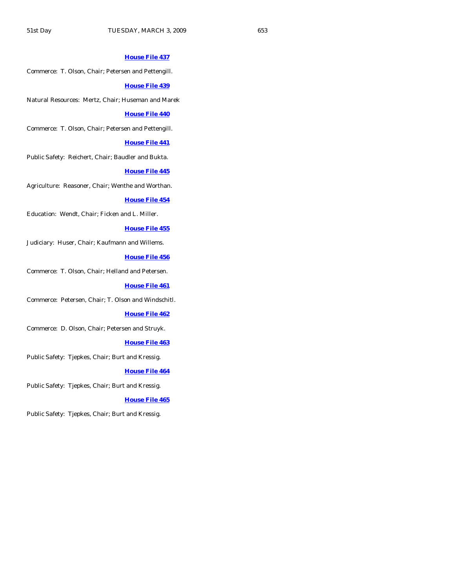#### **[House File 437](http://coolice.legis.state.ia.us/Cool-ICE/default.asp?Category=billinfo&Service=Billbook&frame=1&GA=83&hbill=HF437)**

Commerce: T. Olson, Chair; Petersen and Pettengill.

#### **[House File 439](http://coolice.legis.state.ia.us/Cool-ICE/default.asp?Category=billinfo&Service=Billbook&frame=1&GA=83&hbill=HF439)**

Natural Resources: Mertz, Chair; Huseman and Marek

#### **[House File 440](http://coolice.legis.state.ia.us/Cool-ICE/default.asp?Category=billinfo&Service=Billbook&frame=1&GA=83&hbill=HF440)**

Commerce: T. Olson, Chair; Petersen and Pettengill.

#### **[House File 441](http://coolice.legis.state.ia.us/Cool-ICE/default.asp?Category=billinfo&Service=Billbook&frame=1&GA=83&hbill=HF441)**

Public Safety: Reichert, Chair; Baudler and Bukta.

#### **[House File 445](http://coolice.legis.state.ia.us/Cool-ICE/default.asp?Category=billinfo&Service=Billbook&frame=1&GA=83&hbill=HF445)**

Agriculture: Reasoner, Chair; Wenthe and Worthan.

#### **[House File 454](http://coolice.legis.state.ia.us/Cool-ICE/default.asp?Category=billinfo&Service=Billbook&frame=1&GA=83&hbill=HF454)**

Education: Wendt, Chair; Ficken and L. Miller.

#### **[House File 455](http://coolice.legis.state.ia.us/Cool-ICE/default.asp?Category=billinfo&Service=Billbook&frame=1&GA=83&hbill=HF455)**

Judiciary: Huser, Chair; Kaufmann and Willems.

#### **[House File 456](http://coolice.legis.state.ia.us/Cool-ICE/default.asp?Category=billinfo&Service=Billbook&frame=1&GA=83&hbill=HF456)**

Commerce: T. Olson, Chair; Helland and Petersen.

#### **[House File 461](http://coolice.legis.state.ia.us/Cool-ICE/default.asp?Category=billinfo&Service=Billbook&frame=1&GA=83&hbill=HF461)**

Commerce: Petersen, Chair; T. Olson and Windschitl.

#### **[House File 462](http://coolice.legis.state.ia.us/Cool-ICE/default.asp?Category=billinfo&Service=Billbook&frame=1&GA=83&hbill=HF462)**

Commerce: D. Olson, Chair; Petersen and Struyk.

#### **[House File 463](http://coolice.legis.state.ia.us/Cool-ICE/default.asp?Category=billinfo&Service=Billbook&frame=1&GA=83&hbill=HF463)**

Public Safety: Tjepkes, Chair; Burt and Kressig.

#### **[House File 464](http://coolice.legis.state.ia.us/Cool-ICE/default.asp?Category=billinfo&Service=Billbook&frame=1&GA=83&hbill=HF464)**

Public Safety: Tjepkes, Chair; Burt and Kressig.

#### **[House File 465](http://coolice.legis.state.ia.us/Cool-ICE/default.asp?Category=billinfo&Service=Billbook&frame=1&GA=83&hbill=HF465)**

Public Safety: Tjepkes, Chair; Burt and Kressig.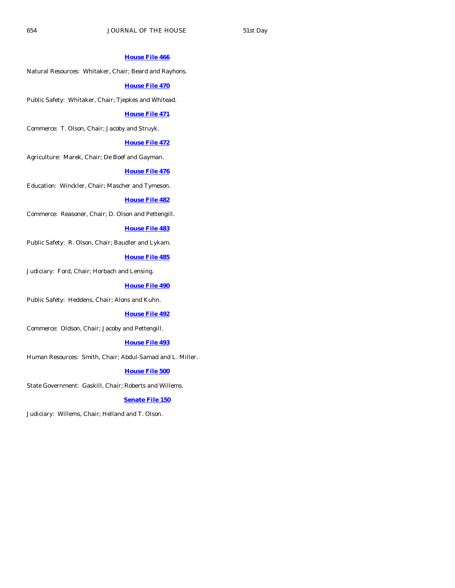#### **[House File 466](http://coolice.legis.state.ia.us/Cool-ICE/default.asp?Category=billinfo&Service=Billbook&frame=1&GA=83&hbill=HF466)**

Natural Resources: Whitaker, Chair; Beard and Rayhons.

#### **[House File 470](http://coolice.legis.state.ia.us/Cool-ICE/default.asp?Category=billinfo&Service=Billbook&frame=1&GA=83&hbill=HF470)**

Public Safety: Whitaker, Chair; Tjepkes and Whitead.

#### **[House File 471](http://coolice.legis.state.ia.us/Cool-ICE/default.asp?Category=billinfo&Service=Billbook&frame=1&GA=83&hbill=HF471)**

Commerce: T. Olson, Chair; Jacoby and Struyk.

#### **[House File 472](http://coolice.legis.state.ia.us/Cool-ICE/default.asp?Category=billinfo&Service=Billbook&frame=1&GA=83&hbill=HF472)**

Agriculture: Marek, Chair; De Boef and Gayman.

#### **[House File 476](http://coolice.legis.state.ia.us/Cool-ICE/default.asp?Category=billinfo&Service=Billbook&frame=1&GA=83&hbill=HF476)**

Education: Winckler, Chair; Mascher and Tymeson.

#### **[House File 482](http://coolice.legis.state.ia.us/Cool-ICE/default.asp?Category=billinfo&Service=Billbook&frame=1&GA=83&hbill=HF482)**

Commerce: Reasoner, Chair; D. Olson and Pettengill.

#### **[House File 483](http://coolice.legis.state.ia.us/Cool-ICE/default.asp?Category=billinfo&Service=Billbook&frame=1&GA=83&hbill=HF483)**

Public Safety: R. Olson, Chair; Baudler and Lykam.

# **[House File 485](http://coolice.legis.state.ia.us/Cool-ICE/default.asp?Category=billinfo&Service=Billbook&frame=1&GA=83&hbill=HF485)**

Judiciary: Ford, Chair; Horbach and Lensing.

#### **[House File 490](http://coolice.legis.state.ia.us/Cool-ICE/default.asp?Category=billinfo&Service=Billbook&frame=1&GA=83&hbill=HF490)**

Public Safety: Heddens, Chair; Alons and Kuhn.

#### **[House File 492](http://coolice.legis.state.ia.us/Cool-ICE/default.asp?Category=billinfo&Service=Billbook&frame=1&GA=83&hbill=HF492)**

Commerce: Oldson, Chair; Jacoby and Pettengill.

#### **[House File 493](http://coolice.legis.state.ia.us/Cool-ICE/default.asp?Category=billinfo&Service=Billbook&frame=1&GA=83&hbill=HF493)**

Human Resources: Smith, Chair; Abdul-Samad and L. Miller.

# **[House File 500](http://coolice.legis.state.ia.us/Cool-ICE/default.asp?Category=billinfo&Service=Billbook&frame=1&GA=83&hbill=HF500)**

State Government: Gaskill, Chair; Roberts and Willems.

#### **[Senate File 150](http://coolice.legis.state.ia.us/Cool-ICE/default.asp?Category=billinfo&Service=Billbook&frame=1&GA=83&hbill=SF150)**

Judiciary: Willems, Chair; Helland and T. Olson.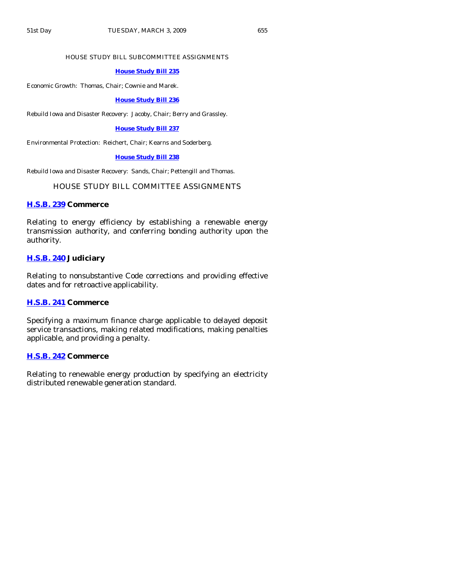#### HOUSE STUDY BILL SUBCOMMITTEE ASSIGNMENTS

#### **[House Study Bill 235](http://coolice.legis.state.ia.us/Cool-ICE/default.asp?Category=billinfo&Service=Billbook&frame=1&GA=83&hbill=HSB235)**

Economic Growth: Thomas, Chair; Cownie and Marek.

**[House Study Bill 236](http://coolice.legis.state.ia.us/Cool-ICE/default.asp?Category=billinfo&Service=Billbook&frame=1&GA=83&hbill=HSB236)**

Rebuild Iowa and Disaster Recovery: Jacoby, Chair; Berry and Grassley.

#### **[House Study Bill 237](http://coolice.legis.state.ia.us/Cool-ICE/default.asp?Category=billinfo&Service=Billbook&frame=1&GA=83&hbill=HSB237)**

Environmental Protection: Reichert, Chair; Kearns and Soderberg.

#### **[House Study Bill 238](http://coolice.legis.state.ia.us/Cool-ICE/default.asp?Category=billinfo&Service=Billbook&frame=1&GA=83&hbill=HSB238)**

Rebuild Iowa and Disaster Recovery: Sands, Chair; Pettengill and Thomas.

# HOUSE STUDY BILL COMMITTEE ASSIGNMENTS

#### **[H.S.B. 239](http://coolice.legis.state.ia.us/Cool-ICE/default.asp?Category=billinfo&Service=Billbook&frame=1&GA=83&hbill=HSB239) Commerce**

Relating to energy efficiency by establishing a renewable energy transmission authority, and conferring bonding authority upon the authority.

# **[H.S.B. 240](http://coolice.legis.state.ia.us/Cool-ICE/default.asp?Category=billinfo&Service=Billbook&frame=1&GA=83&hbill=HSB240) Judiciary**

Relating to nonsubstantive Code corrections and providing effective dates and for retroactive applicability.

#### **[H.S.B. 241](http://coolice.legis.state.ia.us/Cool-ICE/default.asp?Category=billinfo&Service=Billbook&frame=1&GA=83&hbill=HSB241) Commerce**

Specifying a maximum finance charge applicable to delayed deposit service transactions, making related modifications, making penalties applicable, and providing a penalty.

#### **[H.S.B. 242](http://coolice.legis.state.ia.us/Cool-ICE/default.asp?Category=billinfo&Service=Billbook&frame=1&GA=83&hbill=HSB242) Commerce**

Relating to renewable energy production by specifying an electricity distributed renewable generation standard.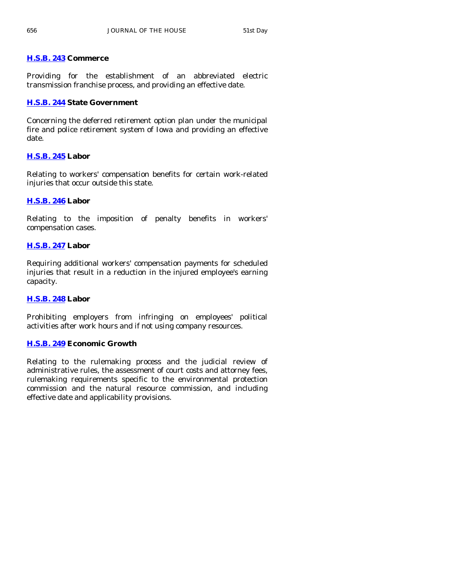# **[H.S.B. 243](http://coolice.legis.state.ia.us/Cool-ICE/default.asp?Category=billinfo&Service=Billbook&frame=1&GA=83&hbill=HSB243) Commerce**

Providing for the establishment of an abbreviated electric transmission franchise process, and providing an effective date.

# **[H.S.B. 244](http://coolice.legis.state.ia.us/Cool-ICE/default.asp?Category=billinfo&Service=Billbook&frame=1&GA=83&hbill=HSB244) State Government**

Concerning the deferred retirement option plan under the municipal fire and police retirement system of Iowa and providing an effective date.

# **[H.S.B. 245](http://coolice.legis.state.ia.us/Cool-ICE/default.asp?Category=billinfo&Service=Billbook&frame=1&GA=83&hbill=HSB245) Labor**

Relating to workers' compensation benefits for certain work-related injuries that occur outside this state.

# **[H.S.B. 246](http://coolice.legis.state.ia.us/Cool-ICE/default.asp?Category=billinfo&Service=Billbook&frame=1&GA=83&hbill=HSB246) Labor**

Relating to the imposition of penalty benefits in workers' compensation cases.

# **[H.S.B. 247](http://coolice.legis.state.ia.us/Cool-ICE/default.asp?Category=billinfo&Service=Billbook&frame=1&GA=83&hbill=HSB247) Labor**

Requiring additional workers' compensation payments for scheduled injuries that result in a reduction in the injured employee's earning capacity.

# **[H.S.B. 248](http://coolice.legis.state.ia.us/Cool-ICE/default.asp?Category=billinfo&Service=Billbook&frame=1&GA=83&hbill=HSB248) Labor**

Prohibiting employers from infringing on employees' political activities after work hours and if not using company resources.

# **[H.S.B. 249](http://coolice.legis.state.ia.us/Cool-ICE/default.asp?Category=billinfo&Service=Billbook&frame=1&GA=83&hbill=HSB249) Economic Growth**

Relating to the rulemaking process and the judicial review of administrative rules, the assessment of court costs and attorney fees, rulemaking requirements specific to the environmental protection commission and the natural resource commission, and including effective date and applicability provisions.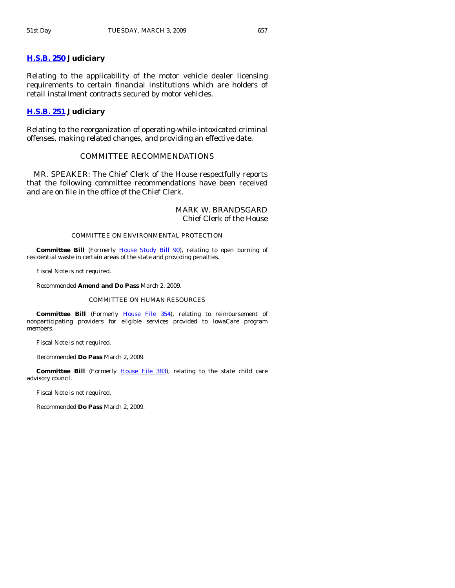### **[H.S.B. 250](http://coolice.legis.state.ia.us/Cool-ICE/default.asp?Category=billinfo&Service=Billbook&frame=1&GA=83&hbill=HSB250) Judiciary**

Relating to the applicability of the motor vehicle dealer licensing requirements to certain financial institutions which are holders of retail installment contracts secured by motor vehicles.

#### **[H.S.B. 251](http://coolice.legis.state.ia.us/Cool-ICE/default.asp?Category=billinfo&Service=Billbook&frame=1&GA=83&hbill=HSB251) Judiciary**

Relating to the reorganization of operating-while-intoxicated criminal offenses, making related changes, and providing an effective date.

# COMMITTEE RECOMMENDATIONS

 MR. SPEAKER: The Chief Clerk of the House respectfully reports that the following committee recommendations have been received and are on file in the office of the Chief Clerk.

#### MARK W. BRANDSGARD Chief Clerk of the House

#### COMMITTEE ON ENVIRONMENTAL PROTECTION

**Committee Bill** (Formerly [House Study Bill 90\)](http://coolice.legis.state.ia.us/Cool-ICE/default.asp?Category=billinfo&Service=Billbook&frame=1&GA=83&hbill=HSB90), relating to open burning of residential waste in certain areas of the state and providing penalties.

Fiscal Note is not required.

Recommended **Amend and Do Pass** March 2, 2009.

#### COMMITTEE ON HUMAN RESOURCES

Committee Bill (Formerly [House File 354](http://coolice.legis.state.ia.us/Cool-ICE/default.asp?Category=billinfo&Service=Billbook&frame=1&GA=83&hbill=HF354)), relating to reimbursement of nonparticipating providers for eligible services provided to IowaCare program members.

Fiscal Note is not required.

Recommended **Do Pass** March 2, 2009.

Committee Bill (Formerly [House File 383\)](http://coolice.legis.state.ia.us/Cool-ICE/default.asp?Category=billinfo&Service=Billbook&frame=1&GA=83&hbill=HF383), relating to the state child care advisory council.

Fiscal Note is not required.

Recommended **Do Pass** March 2, 2009.